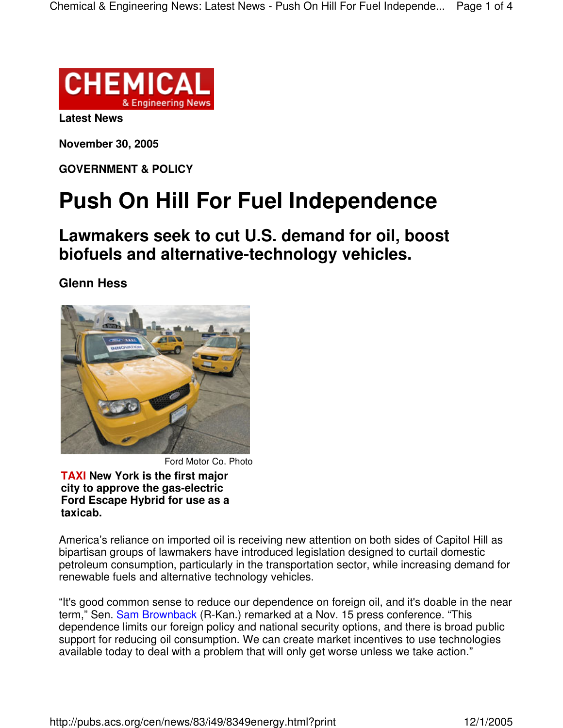

**Latest News**

**November 30, 2005**

**GOVERNMENT & POLICY**

## **Push On Hill For Fuel Independence**

**Lawmakers seek to cut U.S. demand for oil, boost biofuels and alternative-technology vehicles.**

**Glenn Hess**



Ford Motor Co. Photo

**TAXI New York is the first major city to approve the gas-electric Ford Escape Hybrid for use as a taxicab.**

America's reliance on imported oil is receiving new attention on both sides of Capitol Hill as bipartisan groups of lawmakers have introduced legislation designed to curtail domestic petroleum consumption, particularly in the transportation sector, while increasing demand for renewable fuels and alternative technology vehicles.

"It's good common sense to reduce our dependence on foreign oil, and it's doable in the near term," Sen. Sam Brownback (R-Kan.) remarked at a Nov. 15 press conference. "This dependence limits our foreign policy and national security options, and there is broad public support for reducing oil consumption. We can create market incentives to use technologies available today to deal with a problem that will only get worse unless we take action."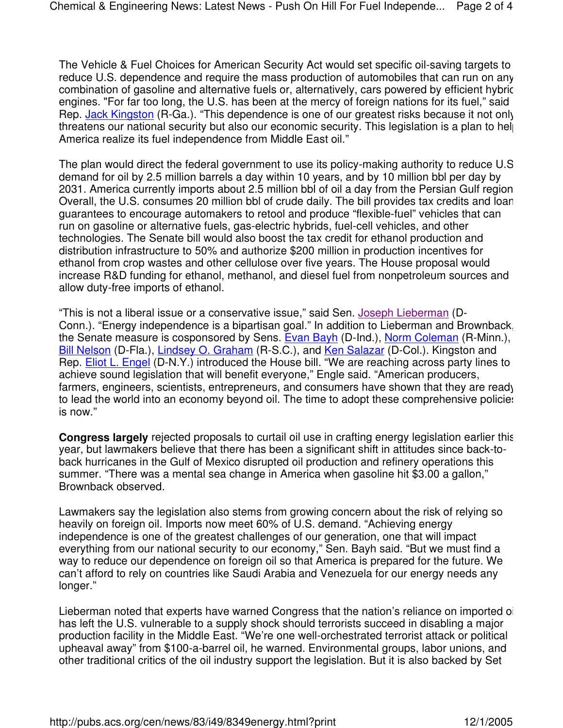The Vehicle & Fuel Choices for American Security Act would set specific oil-saving targets to reduce U.S. dependence and require the mass production of automobiles that can run on any combination of gasoline and alternative fuels or, alternatively, cars powered by efficient hybric engines. "For far too long, the U.S. has been at the mercy of foreign nations for its fuel," said Rep. Jack Kingston (R-Ga.). "This dependence is one of our greatest risks because it not only threatens our national security but also our economic security. This legislation is a plan to help America realize its fuel independence from Middle East oil."

The plan would direct the federal government to use its policy-making authority to reduce U.S. demand for oil by 2.5 million barrels a day within 10 years, and by 10 million bbl per day by 2031. America currently imports about 2.5 million bbl of oil a day from the Persian Gulf region. Overall, the U.S. consumes 20 million bbl of crude daily. The bill provides tax credits and loan guarantees to encourage automakers to retool and produce "flexible-fuel" vehicles that can run on gasoline or alternative fuels, gas-electric hybrids, fuel-cell vehicles, and other technologies. The Senate bill would also boost the tax credit for ethanol production and distribution infrastructure to 50% and authorize \$200 million in production incentives for ethanol from crop wastes and other cellulose over five years. The House proposal would increase R&D funding for ethanol, methanol, and diesel fuel from nonpetroleum sources and allow duty-free imports of ethanol.

"This is not a liberal issue or a conservative issue," said Sen. Joseph Lieberman (D-Conn.). "Energy independence is a bipartisan goal." In addition to Lieberman and Brownback, the Senate measure is cosponsored by Sens. Evan Bayh (D-Ind.), Norm Coleman (R-Minn.), Bill Nelson (D-Fla.), Lindsey O. Graham (R-S.C.), and Ken Salazar (D-Col.). Kingston and Rep. Eliot L. Engel (D-N.Y.) introduced the House bill. "We are reaching across party lines to achieve sound legislation that will benefit everyone," Engle said. "American producers, farmers, engineers, scientists, entrepreneurs, and consumers have shown that they are ready to lead the world into an economy beyond oil. The time to adopt these comprehensive policies is now."

**Congress largely** rejected proposals to curtail oil use in crafting energy legislation earlier this year, but lawmakers believe that there has been a significant shift in attitudes since back-toback hurricanes in the Gulf of Mexico disrupted oil production and refinery operations this summer. "There was a mental sea change in America when gasoline hit \$3.00 a gallon," Brownback observed.

Lawmakers say the legislation also stems from growing concern about the risk of relying so heavily on foreign oil. Imports now meet 60% of U.S. demand. "Achieving energy independence is one of the greatest challenges of our generation, one that will impact everything from our national security to our economy," Sen. Bayh said. "But we must find a way to reduce our dependence on foreign oil so that America is prepared for the future. We can't afford to rely on countries like Saudi Arabia and Venezuela for our energy needs any longer."

Lieberman noted that experts have warned Congress that the nation's reliance on imported oil has left the U.S. vulnerable to a supply shock should terrorists succeed in disabling a major production facility in the Middle East. "We're one well-orchestrated terrorist attack or political upheaval away" from \$100-a-barrel oil, he warned. Environmental groups, labor unions, and other traditional critics of the oil industry support the legislation. But it is also backed by Set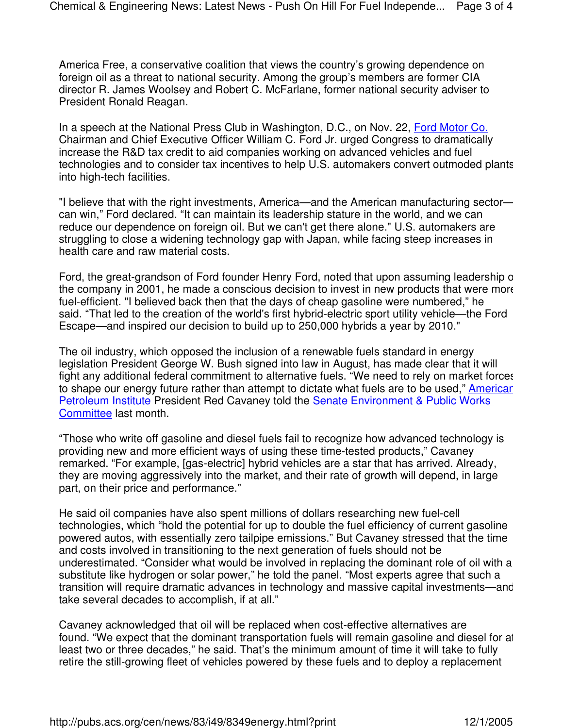America Free, a conservative coalition that views the country's growing dependence on foreign oil as a threat to national security. Among the group's members are former CIA director R. James Woolsey and Robert C. McFarlane, former national security adviser to President Ronald Reagan.

In a speech at the National Press Club in Washington, D.C., on Nov. 22, Ford Motor Co. Chairman and Chief Executive Officer William C. Ford Jr. urged Congress to dramatically increase the R&D tax credit to aid companies working on advanced vehicles and fuel technologies and to consider tax incentives to help U.S. automakers convert outmoded plants into high-tech facilities.

"I believe that with the right investments, America—and the American manufacturing sector can win," Ford declared. "It can maintain its leadership stature in the world, and we can reduce our dependence on foreign oil. But we can't get there alone." U.S. automakers are struggling to close a widening technology gap with Japan, while facing steep increases in health care and raw material costs.

Ford, the great-grandson of Ford founder Henry Ford, noted that upon assuming leadership of the company in 2001, he made a conscious decision to invest in new products that were more fuel-efficient. "I believed back then that the days of cheap gasoline were numbered," he said. "That led to the creation of the world's first hybrid-electric sport utility vehicle—the Ford Escape—and inspired our decision to build up to 250,000 hybrids a year by 2010."

The oil industry, which opposed the inclusion of a renewable fuels standard in energy legislation President George W. Bush signed into law in August, has made clear that it will fight any additional federal commitment to alternative fuels. "We need to rely on market forces to shape our energy future rather than attempt to dictate what fuels are to be used," Americar Petroleum Institute President Red Cavaney told the Senate Environment & Public Works Committee last month.

"Those who write off gasoline and diesel fuels fail to recognize how advanced technology is providing new and more efficient ways of using these time-tested products," Cavaney remarked. "For example, [gas-electric] hybrid vehicles are a star that has arrived. Already, they are moving aggressively into the market, and their rate of growth will depend, in large part, on their price and performance."

He said oil companies have also spent millions of dollars researching new fuel-cell technologies, which "hold the potential for up to double the fuel efficiency of current gasoline powered autos, with essentially zero tailpipe emissions." But Cavaney stressed that the time and costs involved in transitioning to the next generation of fuels should not be underestimated. "Consider what would be involved in replacing the dominant role of oil with a substitute like hydrogen or solar power," he told the panel. "Most experts agree that such a transition will require dramatic advances in technology and massive capital investments—and take several decades to accomplish, if at all."

Cavaney acknowledged that oil will be replaced when cost-effective alternatives are found. "We expect that the dominant transportation fuels will remain gasoline and diesel for at least two or three decades," he said. That's the minimum amount of time it will take to fully retire the still-growing fleet of vehicles powered by these fuels and to deploy a replacement